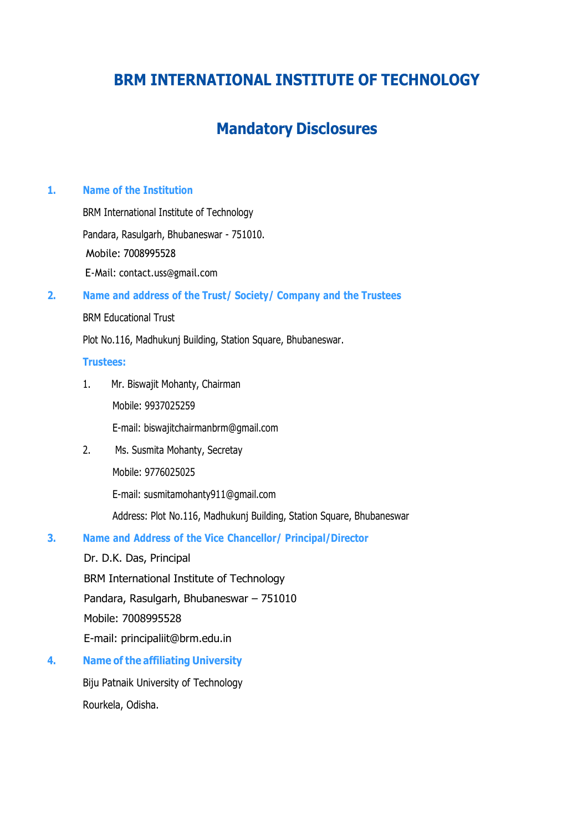# **BRM INTERNATIONAL INSTITUTE OF TECHNOLOGY**

# **Mandatory Disclosures**

## **1. Name of the Institution**

BRM International Institute of Technology Pandara, Rasulgarh, Bhubaneswar - 751010. Mobile: 7008995528 E-Mail: contact.uss@gmail.com

#### **2. Name and address of the Trust/ Society/ Company and the Trustees**

#### BRM Educational Trust

Plot No.116, Madhukunj Building, Station Square, Bhubaneswar.

#### **Trustees:**

1. Mr. Biswajit Mohanty, Chairman Mobile: 9937025259

E-mail: biswajitchairmanbrm@gmail.com

2. Ms. Susmita Mohanty, Secretay Mobile: 9776025025

E-mail: susmitamohanty911@gmail.com

Address: Plot No.116, Madhukunj Building, Station Square, Bhubaneswar

## **3. Name and Address of the Vice Chancellor/ Principal/Director**

Dr. D.K. Das, Principal BRM International Institute of Technology Pandara, Rasulgarh, Bhubaneswar – 751010 Mobile: 7008995528 E-mail: principaliit@brm.edu.in

**4. Name of the affiliating University**

Biju Patnaik University of Technology Rourkela, Odisha.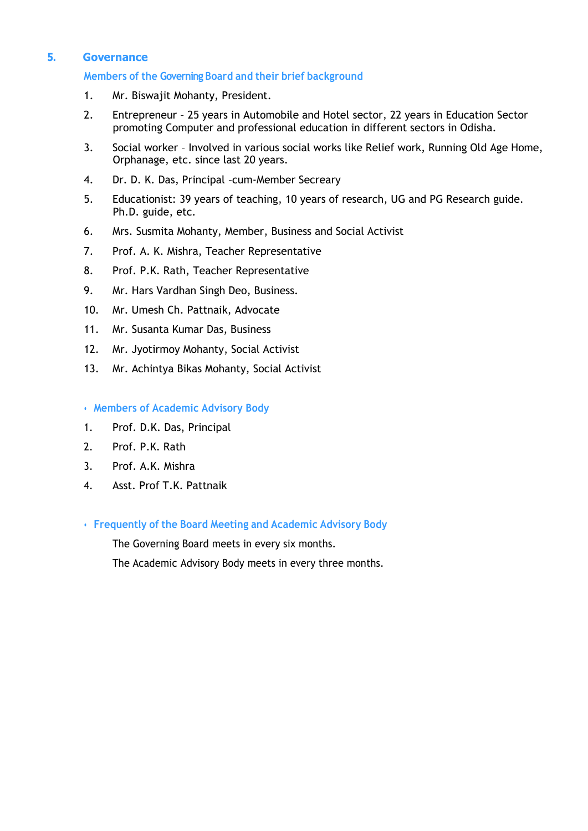#### **5. Governance**

#### **Members of the Governing Board and their brief background**

- 1. Mr. Biswajit Mohanty, President.
- 2. Entrepreneur 25 years in Automobile and Hotel sector, 22 years in Education Sector promoting Computer and professional education in different sectors in Odisha.
- 3. Social worker Involved in various social works like Relief work, Running Old Age Home, Orphanage, etc. since last 20 years.
- 4. Dr. D. K. Das, Principal –cum-Member Secreary
- 5. Educationist: 39 years of teaching, 10 years of research, UG and PG Research guide. Ph.D. guide, etc.
- 6. Mrs. Susmita Mohanty, Member, Business and Social Activist
- 7. Prof. A. K. Mishra, Teacher Representative
- 8. Prof. P.K. Rath, Teacher Representative
- 9. Mr. Hars Vardhan Singh Deo, Business.
- 10. Mr. Umesh Ch. Pattnaik, Advocate
- 11. Mr. Susanta Kumar Das, Business
- 12. Mr. Jyotirmoy Mohanty, Social Activist
- 13. Mr. Achintya Bikas Mohanty, Social Activist
- **Members of Academic Advisory Body**
- 1. Prof. D.K. Das, Principal
- 2. Prof. P.K. Rath
- 3. Prof. A.K. Mishra
- 4. Asst. Prof T.K. Pattnaik

• **Frequently of the Board Meeting and Academic Advisory Body**

The Governing Board meets in every six months.

The Academic Advisory Body meets in every three months.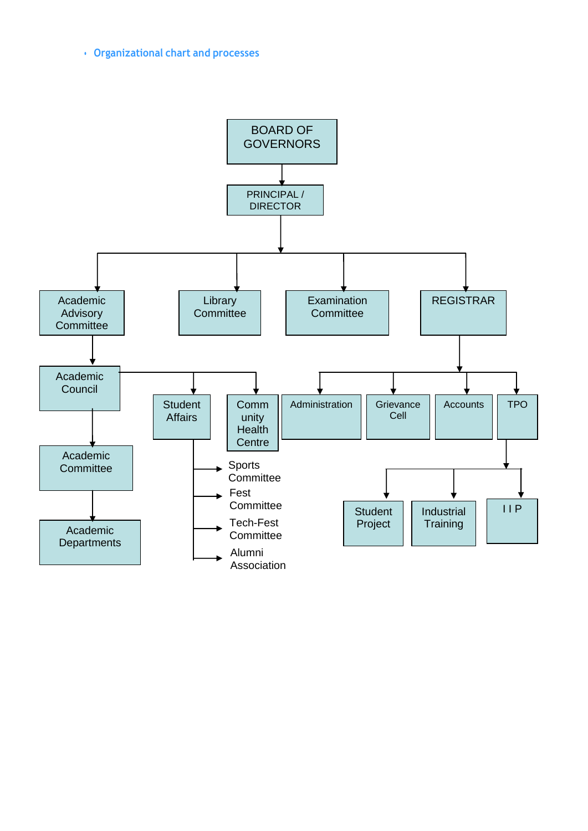## • **Organizational chart and processes**

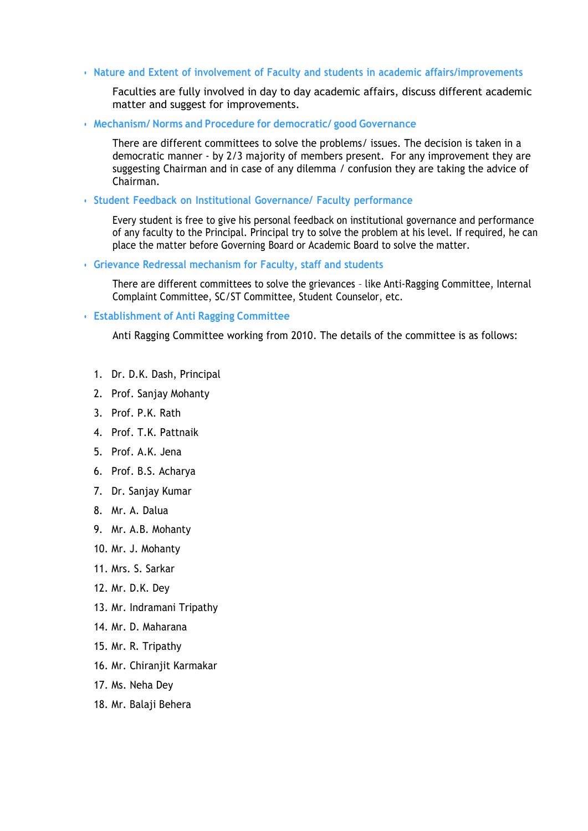• **Nature and Extent of involvement of Faculty and students in academic affairs/improvements**

Faculties are fully involved in day to day academic affairs, discuss different academic matter and suggest for improvements.

• **Mechanism/ Norms and Procedure for democratic/ good Governance**

There are different committees to solve the problems/ issues. The decision is taken in a democratic manner - by 2/3 majority of members present. For any improvement they are suggesting Chairman and in case of any dilemma / confusion they are taking the advice of Chairman.

• **Student Feedback on Institutional Governance/ Faculty performance**

Every student is free to give his personal feedback on institutional governance and performance of any faculty to the Principal. Principal try to solve the problem at his level. If required, he can place the matter before Governing Board or Academic Board to solve the matter.

• **Grievance Redressal mechanism for Faculty, staff and students**

There are different committees to solve the grievances – like Anti-Ragging Committee, Internal Complaint Committee, SC/ST Committee, Student Counselor, etc.

#### • **Establishment of Anti Ragging Committee**

Anti Ragging Committee working from 2010. The details of the committee is as follows:

- 1. Dr. D.K. Dash, Principal
- 2. Prof. Sanjay Mohanty
- 3. Prof. P.K. Rath
- 4. Prof. T.K. Pattnaik
- 5. Prof. A.K. Jena
- 6. Prof. B.S. Acharya
- 7. Dr. Sanjay Kumar
- 8. Mr. A. Dalua
- 9. Mr. A.B. Mohanty
- 10. Mr. J. Mohanty
- 11. Mrs. S. Sarkar
- 12. Mr. D.K. Dey
- 13. Mr. Indramani Tripathy
- 14. Mr. D. Maharana
- 15. Mr. R. Tripathy
- 16. Mr. Chiranjit Karmakar
- 17. Ms. Neha Dey
- 18. Mr. Balaji Behera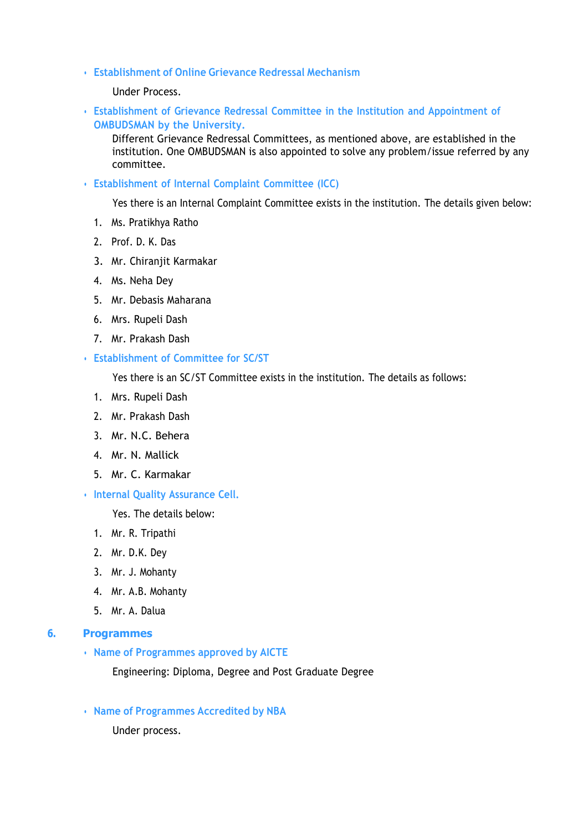• **Establishment of Online Grievance Redressal Mechanism**

Under Process.

• **Establishment of Grievance Redressal Committee in the Institution and Appointment of OMBUDSMAN by the University.** 

Different Grievance Redressal Committees, as mentioned above, are established in the institution. One OMBUDSMAN is also appointed to solve any problem/issue referred by any committee.

• **Establishment of Internal Complaint Committee (ICC)**

Yes there is an Internal Complaint Committee exists in the institution. The details given below:

- 1. Ms. Pratikhya Ratho
- 2. Prof. D. K. Das
- 3. Mr. Chiranjit Karmakar
- 4. Ms. Neha Dey
- 5. Mr. Debasis Maharana
- 6. Mrs. Rupeli Dash
- 7. Mr. Prakash Dash
- **Establishment of Committee for SC/ST**

Yes there is an SC/ST Committee exists in the institution. The details as follows:

- 1. Mrs. Rupeli Dash
- 2. Mr. Prakash Dash
- 3. Mr. N.C. Behera
- 4. Mr. N. Mallick
- 5. Mr. C. Karmakar
- **Internal Quality Assurance Cell.**

Yes. The details below:

- 1. Mr. R. Tripathi
- 2. Mr. D.K. Dey
- 3. Mr. J. Mohanty
- 4. Mr. A.B. Mohanty
- 5. Mr. A. Dalua

#### **6. Programmes**

• **Name of Programmes approved by AICTE**

Engineering: Diploma, Degree and Post Graduate Degree

• **Name of Programmes Accredited by NBA**

Under process.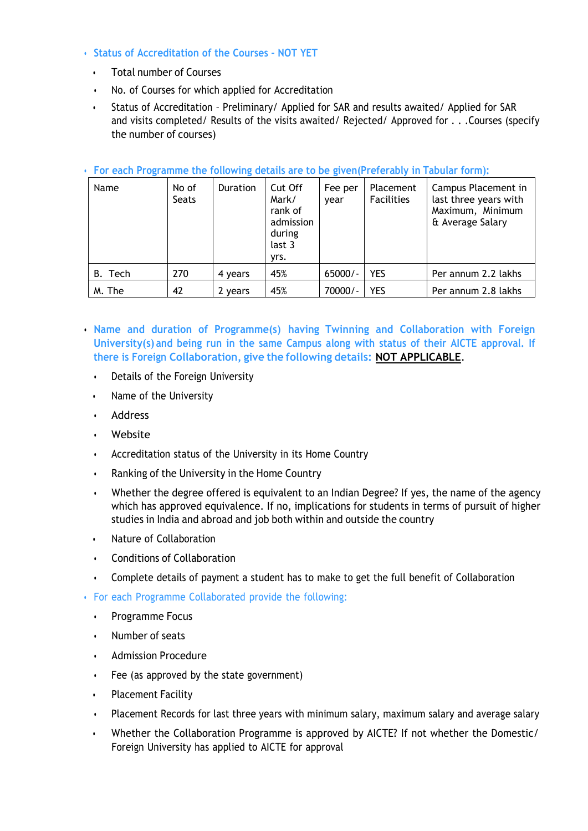- **Status of Accreditation of the Courses – NOT YET**
	- Total number of Courses
	- No. of Courses for which applied for Accreditation
	- Status of Accreditation Preliminary/ Applied for SAR and results awaited/ Applied for SAR and visits completed/ Results of the visits awaited/ Rejected/ Approved for . . .Courses (specify the number of courses)

| Name    | No of<br><b>Seats</b> | Duration | Cut Off<br>Mark/<br>rank of<br>admission<br>during<br>last 3<br>yrs. | Fee per<br>vear | Placement<br>Facilities | Campus Placement in<br>last three years with<br>Maximum, Minimum<br>& Average Salary |
|---------|-----------------------|----------|----------------------------------------------------------------------|-----------------|-------------------------|--------------------------------------------------------------------------------------|
| B. Tech | 270                   | 4 years  | 45%                                                                  | $65000/-$       | <b>YES</b>              | Per annum 2.2 lakhs                                                                  |
| M. The  | 42                    | 2 years  | 45%                                                                  | 70000/-         | <b>YES</b>              | Per annum 2.8 lakhs                                                                  |

#### • **For each Programme the following details are to be given(Preferably in Tabular form):**

- **Name and duration of Programme(s) having Twinning and Collaboration with Foreign University(s) and being run in the same Campus along with status of their AICTE approval. If there is Foreign Collaboration, give the following details: NOT APPLICABLE**.
	- Details of the Foreign University
	- Name of the University
	- Address
	- Website
	- Accreditation status of the University in its Home Country
	- Ranking of the University in the Home Country
	- Whether the degree offered is equivalent to an Indian Degree? If yes, the name of the agency which has approved equivalence. If no, implications for students in terms of pursuit of higher studies in India and abroad and job both within and outside the country
	- Nature of Collaboration
	- Conditions of Collaboration
	- Complete details of payment a student has to make to get the full benefit of Collaboration
- For each Programme Collaborated provide the following:
	- Programme Focus
	- Number of seats
	- Admission Procedure
	- Fee (as approved by the state government)
	- Placement Facility
	- Placement Records for last three years with minimum salary, maximum salary and average salary
	- Whether the Collaboration Programme is approved by AICTE? If not whether the Domestic/ Foreign University has applied to AICTE for approval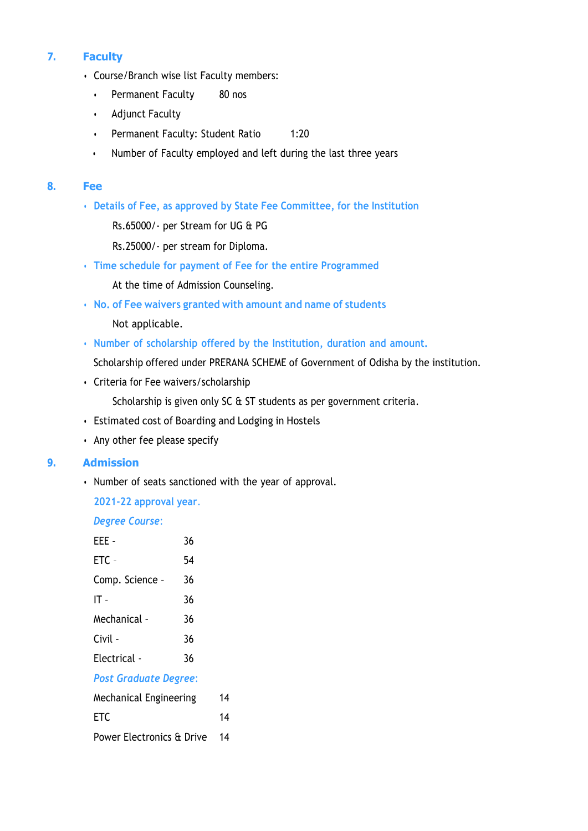## **7. Faculty**

- Course/Branch wise list Faculty members:
	- Permanent Faculty 80 nos
	- Adjunct Faculty
	- Permanent Faculty: Student Ratio 1:20
	- Number of Faculty employed and left during the last three years

#### **8. Fee**

• **Details of Fee, as approved by State Fee Committee, for the Institution**

Rs.65000/- per Stream for UG & PG

Rs.25000/- per stream for Diploma.

- **Time schedule for payment of Fee for the entire Programmed** At the time of Admission Counseling.
- **No. of Fee waivers granted with amount and name of students**

Not applicable.

• **Number of scholarship offered by the Institution, duration and amount.** 

Scholarship offered under PRERANA SCHEME of Government of Odisha by the institution.

• Criteria for Fee waivers/scholarship

Scholarship is given only SC & ST students as per government criteria.

- Estimated cost of Boarding and Lodging in Hostels
- Any other fee please specify

## **9. Admission**

• Number of seats sanctioned with the year of approval.

**2021-22 approval year**.

*Degree Course*:

| EEE -                         | 36 |    |
|-------------------------------|----|----|
| ETC -                         | 54 |    |
| Comp. Science -               | 36 |    |
| IT -                          | 36 |    |
| Mechanical -                  | 36 |    |
| Civil -                       | 36 |    |
| Electrical -                  | 36 |    |
| <b>Post Graduate Degree:</b>  |    |    |
| <b>Mechanical Engineering</b> |    | 14 |
| ETC                           |    | 4  |

Power Electronics & Drive 14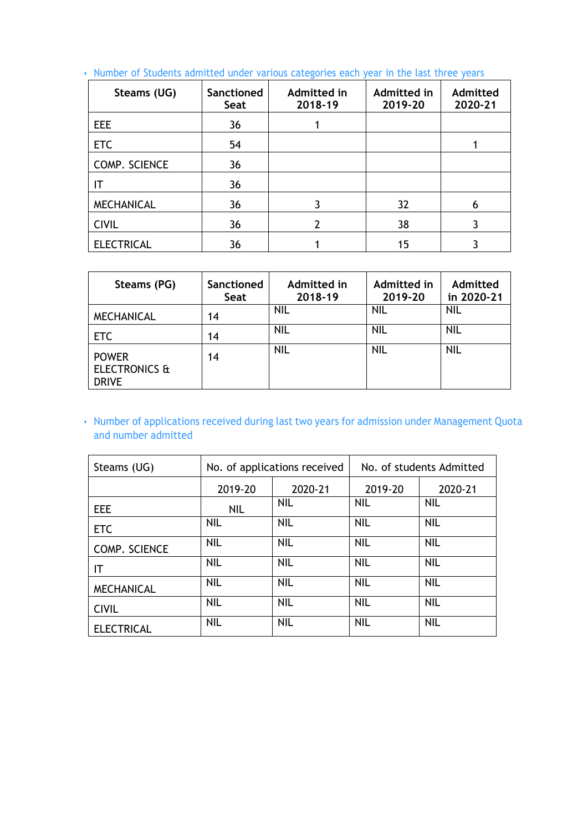| Steams (UG)       | <b>Sanctioned</b><br>Seat | Admitted in<br>2018-19 | Admitted in<br>2019-20 | Admitted<br>2020-21 |
|-------------------|---------------------------|------------------------|------------------------|---------------------|
| <b>EEE</b>        | 36                        |                        |                        |                     |
| <b>ETC</b>        | 54                        |                        |                        |                     |
| COMP. SCIENCE     | 36                        |                        |                        |                     |
|                   | 36                        |                        |                        |                     |
| <b>MECHANICAL</b> | 36                        | 3                      | 32                     | 6                   |
| <b>CIVIL</b>      | 36                        | 2                      | 38                     | 3                   |
| <b>ELECTRICAL</b> | 36                        |                        | 15                     |                     |

• Number of Students admitted under various categories each year in the last three years

| Steams (PG)                                              | Sanctioned<br>Seat | Admitted in<br>2018-19 | Admitted in<br>2019-20 | Admitted<br>in 2020-21 |
|----------------------------------------------------------|--------------------|------------------------|------------------------|------------------------|
| <b>MECHANICAL</b>                                        | 14                 | <b>NIL</b>             | <b>NIL</b>             | <b>NIL</b>             |
| <b>ETC</b>                                               | 14                 | <b>NIL</b>             | NIL                    | <b>NIL</b>             |
| <b>POWER</b><br><b>ELECTRONICS &amp;</b><br><b>DRIVE</b> | 14                 | <b>NIL</b>             | <b>NIL</b>             | <b>NIL</b>             |

• Number of applications received during last two years for admission under Management Quota and number admitted

| Steams (UG)       | No. of applications received |            | No. of students Admitted |            |
|-------------------|------------------------------|------------|--------------------------|------------|
|                   | 2019-20                      | 2020-21    | 2019-20                  | 2020-21    |
| <b>EEE</b>        | <b>NIL</b>                   | NIL.       | <b>NIL</b>               | <b>NIL</b> |
| <b>ETC</b>        | <b>NIL</b>                   | <b>NIL</b> | <b>NIL</b>               | <b>NIL</b> |
| COMP. SCIENCE     | <b>NIL</b>                   | <b>NIL</b> | <b>NIL</b>               | <b>NIL</b> |
| ΙT                | <b>NIL</b>                   | <b>NIL</b> | <b>NIL</b>               | <b>NIL</b> |
| <b>MECHANICAL</b> | <b>NIL</b>                   | <b>NIL</b> | <b>NIL</b>               | <b>NIL</b> |
| <b>CIVIL</b>      | <b>NIL</b>                   | <b>NIL</b> | <b>NIL</b>               | <b>NIL</b> |
| <b>ELECTRICAL</b> | <b>NIL</b>                   | <b>NIL</b> | <b>NIL</b>               | <b>NIL</b> |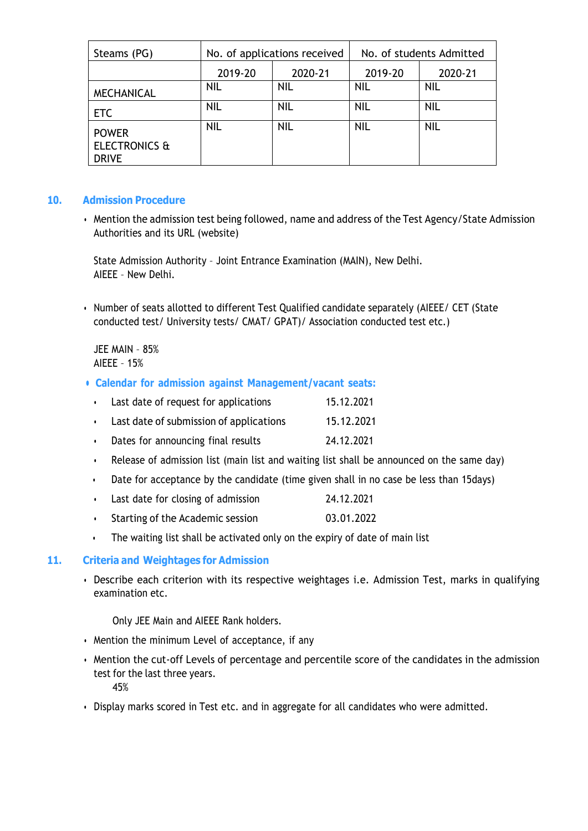| Steams (PG)                                              |            | No. of applications received | No. of students Admitted |            |
|----------------------------------------------------------|------------|------------------------------|--------------------------|------------|
|                                                          | 2019-20    | 2020-21                      | 2019-20                  | 2020-21    |
| <b>MECHANICAL</b>                                        | <b>NIL</b> | NIL                          | <b>NIL</b>               | <b>NIL</b> |
| <b>ETC</b>                                               | <b>NIL</b> | <b>NIL</b>                   | <b>NIL</b>               | <b>NIL</b> |
| <b>POWER</b><br><b>ELECTRONICS &amp;</b><br><b>DRIVE</b> | <b>NIL</b> | <b>NIL</b>                   | <b>NIL</b>               | <b>NIL</b> |

#### **10. Admission Procedure**

• Mention the admission test being followed, name and address of the Test Agency/State Admission Authorities and its URL (website)

State Admission Authority – Joint Entrance Examination (MAIN), New Delhi. AIEEE – New Delhi.

• Number of seats allotted to different Test Qualified candidate separately (AIEEE/ CET (State conducted test/ University tests/ CMAT/ GPAT)/ Association conducted test etc.)

JEE MAIN – 85% AIEEE – 15%

- **• Calendar for admission against Management/vacant seats:**
	- Last date of request for applications 15.12.2021
	- Last date of submission of applications 15.12.2021
	- Dates for announcing final results 24.12.2021
	- Release of admission list (main list and waiting list shall be announced on the same day)
	- Date for acceptance by the candidate (time given shall in no case be less than 15days)
	- Last date for closing of admission 24.12.2021
	- Starting of the Academic session 03.01.2022
	- The waiting list shall be activated only on the expiry of date of main list

## **11. Criteria and Weightages for Admission**

• Describe each criterion with its respective weightages i.e. Admission Test, marks in qualifying examination etc.

Only JEE Main and AIEEE Rank holders.

- Mention the minimum Level of acceptance, if any
- Mention the cut-off Levels of percentage and percentile score of the candidates in the admission test for the last three years. 45%
- Display marks scored in Test etc. and in aggregate for all candidates who were admitted.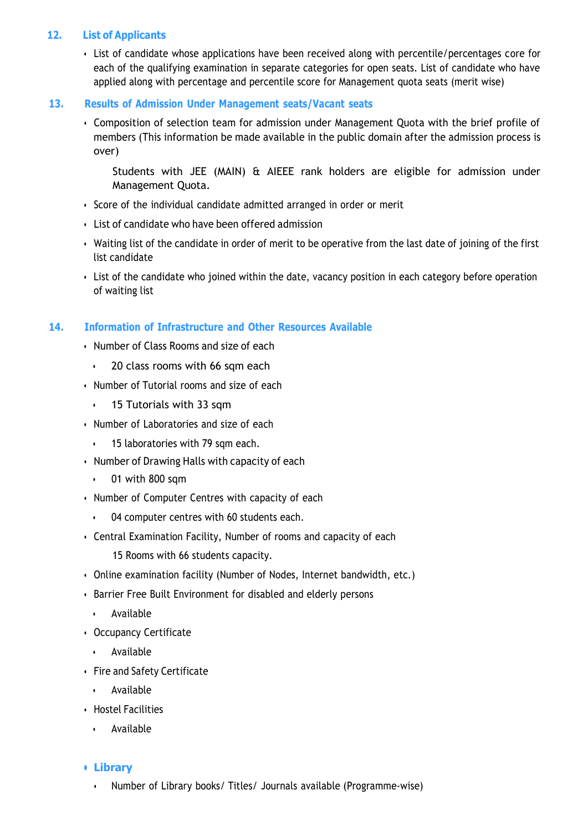#### **12. List of Applicants**

• List of candidate whose applications have been received along with percentile/percentages core for each of the qualifying examination in separate categories for open seats. List of candidate who have applied along with percentage and percentile score for Management quota seats (merit wise)

#### **13. Results of Admission Under Management seats/Vacant seats**

• Composition of selection team for admission under Management Quota with the brief profile of members (This information be made available in the public domain after the admission process is over)

Students with JEE (MAIN) & AIEEE rank holders are eligible for admission under Management Quota.

- Score of the individual candidate admitted arranged in order or merit
- List of candidate who have been offered admission
- Waiting list of the candidate in order of merit to be operative from the last date of joining of the first list candidate
- List of the candidate who joined within the date, vacancy position in each category before operation of waiting list

#### **14. Information of Infrastructure and Other Resources Available**

- Number of Class Rooms and size of each
	- 20 class rooms with 66 sqm each
- Number of Tutorial rooms and size of each
	- 15 Tutorials with 33 sqm
- Number of Laboratories and size of each
	- 15 laboratories with 79 sqm each.
- Number of Drawing Halls with capacity of each
	- 01 with 800 sqm
- Number of Computer Centres with capacity of each
	- 04 computer centres with 60 students each.
- Central Examination Facility, Number of rooms and capacity of each

15 Rooms with 66 students capacity.

- Online examination facility (Number of Nodes, Internet bandwidth, etc.)
- Barrier Free Built Environment for disabled and elderly persons
	- Available
- Occupancy Certificate
	- Available
- Fire and Safety Certificate
	- Available
- Hostel Facilities
	- Available

#### **• Library**

• Number of Library books/ Titles/ Journals available (Programme-wise)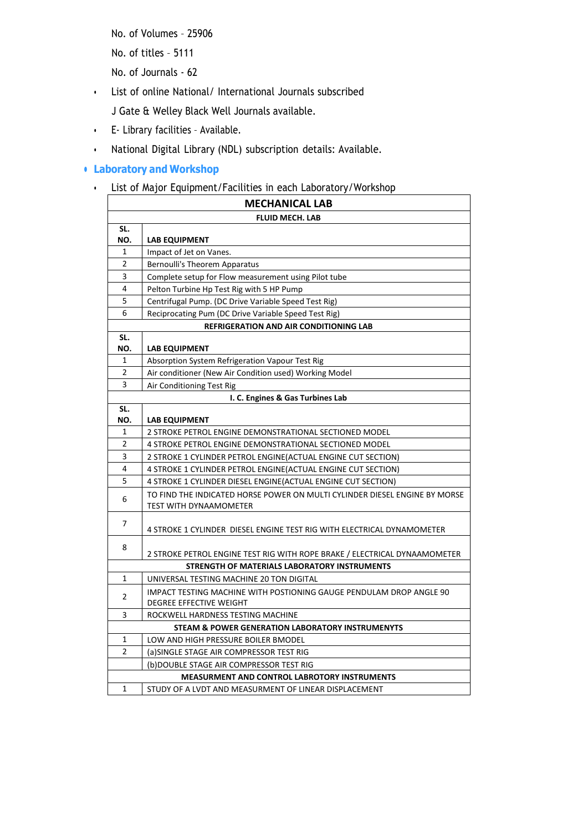No. of Volumes – 25906

No. of titles – 5111

No. of Journals - 62

• List of online National/ International Journals subscribed

J Gate & Welley Black Well Journals available.

- E- Library facilities Available.
- National Digital Library (NDL) subscription details: Available.

## **• Laboratory and Workshop**

• List of Major Equipment/Facilities in each Laboratory/Workshop

| <b>MECHANICAL LAB</b>                               |                                                                                                             |  |  |
|-----------------------------------------------------|-------------------------------------------------------------------------------------------------------------|--|--|
| <b>FLUID MECH. LAB</b>                              |                                                                                                             |  |  |
| SL.                                                 |                                                                                                             |  |  |
| NO.                                                 | <b>LAB EQUIPMENT</b>                                                                                        |  |  |
| 1                                                   | Impact of Jet on Vanes.                                                                                     |  |  |
| 2                                                   | Bernoulli's Theorem Apparatus                                                                               |  |  |
| 3                                                   | Complete setup for Flow measurement using Pilot tube                                                        |  |  |
| $\overline{\mathbf{4}}$                             | Pelton Turbine Hp Test Rig with 5 HP Pump                                                                   |  |  |
| 5                                                   | Centrifugal Pump. (DC Drive Variable Speed Test Rig)                                                        |  |  |
| 6                                                   | Reciprocating Pum (DC Drive Variable Speed Test Rig)                                                        |  |  |
|                                                     | <b>REFRIGERATION AND AIR CONDITIONING LAB</b>                                                               |  |  |
| SL.<br>NO.                                          | <b>LAB EQUIPMENT</b>                                                                                        |  |  |
| 1                                                   | Absorption System Refrigeration Vapour Test Rig                                                             |  |  |
| $\mathbf 2$                                         | Air conditioner (New Air Condition used) Working Model                                                      |  |  |
| 3                                                   | Air Conditioning Test Rig                                                                                   |  |  |
|                                                     | I. C. Engines & Gas Turbines Lab                                                                            |  |  |
| SL.                                                 |                                                                                                             |  |  |
| NO.                                                 | <b>LAB EQUIPMENT</b>                                                                                        |  |  |
| $\mathbf{1}$                                        | 2 STROKE PETROL ENGINE DEMONSTRATIONAL SECTIONED MODEL                                                      |  |  |
| 2                                                   | 4 STROKE PETROL ENGINE DEMONSTRATIONAL SECTIONED MODEL                                                      |  |  |
| 3                                                   | 2 STROKE 1 CYLINDER PETROL ENGINE (ACTUAL ENGINE CUT SECTION)                                               |  |  |
| 4                                                   | 4 STROKE 1 CYLINDER PETROL ENGINE (ACTUAL ENGINE CUT SECTION)                                               |  |  |
| 5                                                   | 4 STROKE 1 CYLINDER DIESEL ENGINE (ACTUAL ENGINE CUT SECTION)                                               |  |  |
| 6                                                   | TO FIND THE INDICATED HORSE POWER ON MULTI CYLINDER DIESEL ENGINE BY MORSE<br><b>TEST WITH DYNAAMOMETER</b> |  |  |
| 7                                                   | 4 STROKE 1 CYLINDER DIESEL ENGINE TEST RIG WITH ELECTRICAL DYNAMOMETER                                      |  |  |
| 8                                                   | 2 STROKE PETROL ENGINE TEST RIG WITH ROPE BRAKE / ELECTRICAL DYNAAMOMETER                                   |  |  |
| STRENGTH OF MATERIALS LABORATORY INSTRUMENTS        |                                                                                                             |  |  |
| 1                                                   | UNIVERSAL TESTING MACHINE 20 TON DIGITAL                                                                    |  |  |
| 2                                                   | IMPACT TESTING MACHINE WITH POSTIONING GAUGE PENDULAM DROP ANGLE 90<br>DEGREE EFFECTIVE WEIGHT              |  |  |
| 3                                                   | ROCKWELL HARDNESS TESTING MACHINE                                                                           |  |  |
|                                                     | <b>STEAM &amp; POWER GENERATION LABORATORY INSTRUMENYTS</b>                                                 |  |  |
| 1                                                   | LOW AND HIGH PRESSURE BOILER BMODEL                                                                         |  |  |
| $\overline{2}$                                      | (a) SINGLE STAGE AIR COMPRESSOR TEST RIG                                                                    |  |  |
|                                                     | (b)DOUBLE STAGE AIR COMPRESSOR TEST RIG                                                                     |  |  |
| <b>MEASURMENT AND CONTROL LABROTORY INSTRUMENTS</b> |                                                                                                             |  |  |
| $\mathbf{1}$                                        | STUDY OF A LVDT AND MEASURMENT OF LINEAR DISPLACEMENT                                                       |  |  |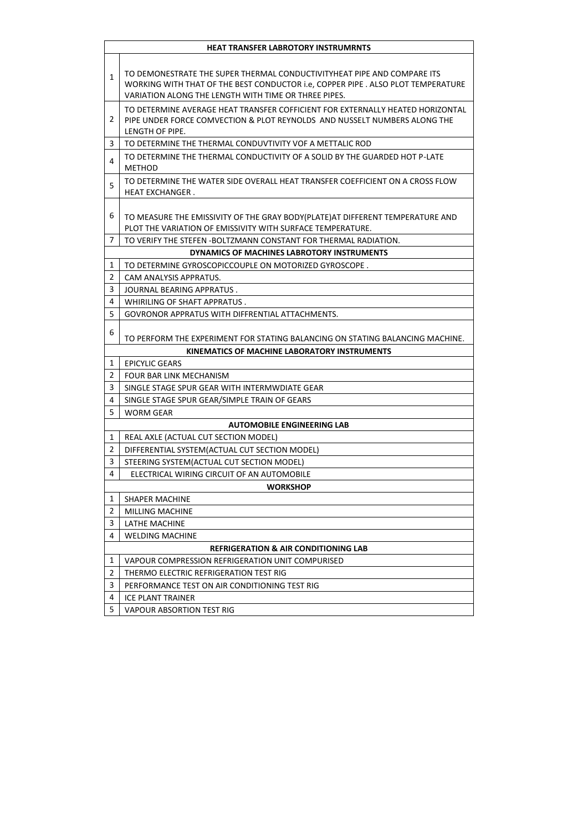| TO DEMONESTRATE THE SUPER THERMAL CONDUCTIVITYHEAT PIPE AND COMPARE ITS<br>$\mathbf{1}$<br>WORKING WITH THAT OF THE BEST CONDUCTOR i.e, COPPER PIPE . ALSO PLOT TEMPERATURE<br>VARIATION ALONG THE LENGTH WITH TIME OR THREE PIPES.<br>TO DETERMINE AVERAGE HEAT TRANSFER COFFICIENT FOR EXTERNALLY HEATED HORIZONTAL<br>2<br>PIPE UNDER FORCE COMVECTION & PLOT REYNOLDS AND NUSSELT NUMBERS ALONG THE<br>LENGTH OF PIPE.<br>3<br>TO DETERMINE THE THERMAL CONDUVTIVITY VOF A METTALIC ROD<br>TO DETERMINE THE THERMAL CONDUCTIVITY OF A SOLID BY THE GUARDED HOT P-LATE<br>4<br><b>METHOD</b><br>TO DETERMINE THE WATER SIDE OVERALL HEAT TRANSFER COEFFICIENT ON A CROSS FLOW<br>5<br><b>HEAT EXCHANGER.</b><br>6<br>TO MEASURE THE EMISSIVITY OF THE GRAY BODY(PLATE) AT DIFFERENT TEMPERATURE AND<br>PLOT THE VARIATION OF EMISSIVITY WITH SURFACE TEMPERATURE.<br>7<br>TO VERIFY THE STEFEN -BOLTZMANN CONSTANT FOR THERMAL RADIATION.<br>DYNAMICS OF MACHINES LABROTORY INSTRUMENTS<br>1<br>TO DETERMINE GYROSCOPICCOUPLE ON MOTORIZED GYROSCOPE.<br>2<br>CAM ANALYSIS APPRATUS.<br>3<br>JOURNAL BEARING APPRATUS.<br>4<br>WHIRILING OF SHAFT APPRATUS.<br>5<br>GOVRONOR APPRATUS WITH DIFFRENTIAL ATTACHMENTS.<br>6<br>TO PERFORM THE EXPERIMENT FOR STATING BALANCING ON STATING BALANCING MACHINE.<br>KINEMATICS OF MACHINE LABORATORY INSTRUMENTS<br>1<br><b>EPICYLIC GEARS</b><br>$\overline{2}$<br><b>FOUR BAR LINK MECHANISM</b><br>3<br>SINGLE STAGE SPUR GEAR WITH INTERMWDIATE GEAR<br>4<br>SINGLE STAGE SPUR GEAR/SIMPLE TRAIN OF GEARS<br>5<br><b>WORM GEAR</b><br><b>AUTOMOBILE ENGINEERING LAB</b><br>1<br>REAL AXLE (ACTUAL CUT SECTION MODEL)<br>$\overline{2}$<br>DIFFERENTIAL SYSTEM(ACTUAL CUT SECTION MODEL)<br>3<br>STEERING SYSTEM(ACTUAL CUT SECTION MODEL)<br>4<br>ELECTRICAL WIRING CIRCUIT OF AN AUTOMOBILE<br><b>WORKSHOP</b><br>1<br>SHAPER MACHINE<br>2<br>MILLING MACHINE<br>3<br>LATHE MACHINE<br>4<br><b>WELDING MACHINE</b><br><b>REFRIGERATION &amp; AIR CONDITIONING LAB</b><br>1<br>VAPOUR COMPRESSION REFRIGERATION UNIT COMPURISED<br>2<br>THERMO ELECTRIC REFRIGERATION TEST RIG<br>3<br>PERFORMANCE TEST ON AIR CONDITIONING TEST RIG<br>4<br>ICE PLANT TRAINER<br>5<br>VAPOUR ABSORTION TEST RIG | HEAT TRANSFER LABROTORY INSTRUMRNTS |
|--------------------------------------------------------------------------------------------------------------------------------------------------------------------------------------------------------------------------------------------------------------------------------------------------------------------------------------------------------------------------------------------------------------------------------------------------------------------------------------------------------------------------------------------------------------------------------------------------------------------------------------------------------------------------------------------------------------------------------------------------------------------------------------------------------------------------------------------------------------------------------------------------------------------------------------------------------------------------------------------------------------------------------------------------------------------------------------------------------------------------------------------------------------------------------------------------------------------------------------------------------------------------------------------------------------------------------------------------------------------------------------------------------------------------------------------------------------------------------------------------------------------------------------------------------------------------------------------------------------------------------------------------------------------------------------------------------------------------------------------------------------------------------------------------------------------------------------------------------------------------------------------------------------------------------------------------------------------------------------------------------------------------------------------------------------------------------------------------------------------------------------------------------------------------------------------------------------------------------------------------|-------------------------------------|
|                                                                                                                                                                                                                                                                                                                                                                                                                                                                                                                                                                                                                                                                                                                                                                                                                                                                                                                                                                                                                                                                                                                                                                                                                                                                                                                                                                                                                                                                                                                                                                                                                                                                                                                                                                                                                                                                                                                                                                                                                                                                                                                                                                                                                                                  |                                     |
|                                                                                                                                                                                                                                                                                                                                                                                                                                                                                                                                                                                                                                                                                                                                                                                                                                                                                                                                                                                                                                                                                                                                                                                                                                                                                                                                                                                                                                                                                                                                                                                                                                                                                                                                                                                                                                                                                                                                                                                                                                                                                                                                                                                                                                                  |                                     |
|                                                                                                                                                                                                                                                                                                                                                                                                                                                                                                                                                                                                                                                                                                                                                                                                                                                                                                                                                                                                                                                                                                                                                                                                                                                                                                                                                                                                                                                                                                                                                                                                                                                                                                                                                                                                                                                                                                                                                                                                                                                                                                                                                                                                                                                  |                                     |
|                                                                                                                                                                                                                                                                                                                                                                                                                                                                                                                                                                                                                                                                                                                                                                                                                                                                                                                                                                                                                                                                                                                                                                                                                                                                                                                                                                                                                                                                                                                                                                                                                                                                                                                                                                                                                                                                                                                                                                                                                                                                                                                                                                                                                                                  |                                     |
|                                                                                                                                                                                                                                                                                                                                                                                                                                                                                                                                                                                                                                                                                                                                                                                                                                                                                                                                                                                                                                                                                                                                                                                                                                                                                                                                                                                                                                                                                                                                                                                                                                                                                                                                                                                                                                                                                                                                                                                                                                                                                                                                                                                                                                                  |                                     |
|                                                                                                                                                                                                                                                                                                                                                                                                                                                                                                                                                                                                                                                                                                                                                                                                                                                                                                                                                                                                                                                                                                                                                                                                                                                                                                                                                                                                                                                                                                                                                                                                                                                                                                                                                                                                                                                                                                                                                                                                                                                                                                                                                                                                                                                  |                                     |
|                                                                                                                                                                                                                                                                                                                                                                                                                                                                                                                                                                                                                                                                                                                                                                                                                                                                                                                                                                                                                                                                                                                                                                                                                                                                                                                                                                                                                                                                                                                                                                                                                                                                                                                                                                                                                                                                                                                                                                                                                                                                                                                                                                                                                                                  |                                     |
|                                                                                                                                                                                                                                                                                                                                                                                                                                                                                                                                                                                                                                                                                                                                                                                                                                                                                                                                                                                                                                                                                                                                                                                                                                                                                                                                                                                                                                                                                                                                                                                                                                                                                                                                                                                                                                                                                                                                                                                                                                                                                                                                                                                                                                                  |                                     |
|                                                                                                                                                                                                                                                                                                                                                                                                                                                                                                                                                                                                                                                                                                                                                                                                                                                                                                                                                                                                                                                                                                                                                                                                                                                                                                                                                                                                                                                                                                                                                                                                                                                                                                                                                                                                                                                                                                                                                                                                                                                                                                                                                                                                                                                  |                                     |
|                                                                                                                                                                                                                                                                                                                                                                                                                                                                                                                                                                                                                                                                                                                                                                                                                                                                                                                                                                                                                                                                                                                                                                                                                                                                                                                                                                                                                                                                                                                                                                                                                                                                                                                                                                                                                                                                                                                                                                                                                                                                                                                                                                                                                                                  |                                     |
|                                                                                                                                                                                                                                                                                                                                                                                                                                                                                                                                                                                                                                                                                                                                                                                                                                                                                                                                                                                                                                                                                                                                                                                                                                                                                                                                                                                                                                                                                                                                                                                                                                                                                                                                                                                                                                                                                                                                                                                                                                                                                                                                                                                                                                                  |                                     |
|                                                                                                                                                                                                                                                                                                                                                                                                                                                                                                                                                                                                                                                                                                                                                                                                                                                                                                                                                                                                                                                                                                                                                                                                                                                                                                                                                                                                                                                                                                                                                                                                                                                                                                                                                                                                                                                                                                                                                                                                                                                                                                                                                                                                                                                  |                                     |
|                                                                                                                                                                                                                                                                                                                                                                                                                                                                                                                                                                                                                                                                                                                                                                                                                                                                                                                                                                                                                                                                                                                                                                                                                                                                                                                                                                                                                                                                                                                                                                                                                                                                                                                                                                                                                                                                                                                                                                                                                                                                                                                                                                                                                                                  |                                     |
|                                                                                                                                                                                                                                                                                                                                                                                                                                                                                                                                                                                                                                                                                                                                                                                                                                                                                                                                                                                                                                                                                                                                                                                                                                                                                                                                                                                                                                                                                                                                                                                                                                                                                                                                                                                                                                                                                                                                                                                                                                                                                                                                                                                                                                                  |                                     |
|                                                                                                                                                                                                                                                                                                                                                                                                                                                                                                                                                                                                                                                                                                                                                                                                                                                                                                                                                                                                                                                                                                                                                                                                                                                                                                                                                                                                                                                                                                                                                                                                                                                                                                                                                                                                                                                                                                                                                                                                                                                                                                                                                                                                                                                  |                                     |
|                                                                                                                                                                                                                                                                                                                                                                                                                                                                                                                                                                                                                                                                                                                                                                                                                                                                                                                                                                                                                                                                                                                                                                                                                                                                                                                                                                                                                                                                                                                                                                                                                                                                                                                                                                                                                                                                                                                                                                                                                                                                                                                                                                                                                                                  |                                     |
|                                                                                                                                                                                                                                                                                                                                                                                                                                                                                                                                                                                                                                                                                                                                                                                                                                                                                                                                                                                                                                                                                                                                                                                                                                                                                                                                                                                                                                                                                                                                                                                                                                                                                                                                                                                                                                                                                                                                                                                                                                                                                                                                                                                                                                                  |                                     |
|                                                                                                                                                                                                                                                                                                                                                                                                                                                                                                                                                                                                                                                                                                                                                                                                                                                                                                                                                                                                                                                                                                                                                                                                                                                                                                                                                                                                                                                                                                                                                                                                                                                                                                                                                                                                                                                                                                                                                                                                                                                                                                                                                                                                                                                  |                                     |
|                                                                                                                                                                                                                                                                                                                                                                                                                                                                                                                                                                                                                                                                                                                                                                                                                                                                                                                                                                                                                                                                                                                                                                                                                                                                                                                                                                                                                                                                                                                                                                                                                                                                                                                                                                                                                                                                                                                                                                                                                                                                                                                                                                                                                                                  |                                     |
|                                                                                                                                                                                                                                                                                                                                                                                                                                                                                                                                                                                                                                                                                                                                                                                                                                                                                                                                                                                                                                                                                                                                                                                                                                                                                                                                                                                                                                                                                                                                                                                                                                                                                                                                                                                                                                                                                                                                                                                                                                                                                                                                                                                                                                                  |                                     |
|                                                                                                                                                                                                                                                                                                                                                                                                                                                                                                                                                                                                                                                                                                                                                                                                                                                                                                                                                                                                                                                                                                                                                                                                                                                                                                                                                                                                                                                                                                                                                                                                                                                                                                                                                                                                                                                                                                                                                                                                                                                                                                                                                                                                                                                  |                                     |
|                                                                                                                                                                                                                                                                                                                                                                                                                                                                                                                                                                                                                                                                                                                                                                                                                                                                                                                                                                                                                                                                                                                                                                                                                                                                                                                                                                                                                                                                                                                                                                                                                                                                                                                                                                                                                                                                                                                                                                                                                                                                                                                                                                                                                                                  |                                     |
|                                                                                                                                                                                                                                                                                                                                                                                                                                                                                                                                                                                                                                                                                                                                                                                                                                                                                                                                                                                                                                                                                                                                                                                                                                                                                                                                                                                                                                                                                                                                                                                                                                                                                                                                                                                                                                                                                                                                                                                                                                                                                                                                                                                                                                                  |                                     |
|                                                                                                                                                                                                                                                                                                                                                                                                                                                                                                                                                                                                                                                                                                                                                                                                                                                                                                                                                                                                                                                                                                                                                                                                                                                                                                                                                                                                                                                                                                                                                                                                                                                                                                                                                                                                                                                                                                                                                                                                                                                                                                                                                                                                                                                  |                                     |
|                                                                                                                                                                                                                                                                                                                                                                                                                                                                                                                                                                                                                                                                                                                                                                                                                                                                                                                                                                                                                                                                                                                                                                                                                                                                                                                                                                                                                                                                                                                                                                                                                                                                                                                                                                                                                                                                                                                                                                                                                                                                                                                                                                                                                                                  |                                     |
|                                                                                                                                                                                                                                                                                                                                                                                                                                                                                                                                                                                                                                                                                                                                                                                                                                                                                                                                                                                                                                                                                                                                                                                                                                                                                                                                                                                                                                                                                                                                                                                                                                                                                                                                                                                                                                                                                                                                                                                                                                                                                                                                                                                                                                                  |                                     |
|                                                                                                                                                                                                                                                                                                                                                                                                                                                                                                                                                                                                                                                                                                                                                                                                                                                                                                                                                                                                                                                                                                                                                                                                                                                                                                                                                                                                                                                                                                                                                                                                                                                                                                                                                                                                                                                                                                                                                                                                                                                                                                                                                                                                                                                  |                                     |
|                                                                                                                                                                                                                                                                                                                                                                                                                                                                                                                                                                                                                                                                                                                                                                                                                                                                                                                                                                                                                                                                                                                                                                                                                                                                                                                                                                                                                                                                                                                                                                                                                                                                                                                                                                                                                                                                                                                                                                                                                                                                                                                                                                                                                                                  |                                     |
|                                                                                                                                                                                                                                                                                                                                                                                                                                                                                                                                                                                                                                                                                                                                                                                                                                                                                                                                                                                                                                                                                                                                                                                                                                                                                                                                                                                                                                                                                                                                                                                                                                                                                                                                                                                                                                                                                                                                                                                                                                                                                                                                                                                                                                                  |                                     |
|                                                                                                                                                                                                                                                                                                                                                                                                                                                                                                                                                                                                                                                                                                                                                                                                                                                                                                                                                                                                                                                                                                                                                                                                                                                                                                                                                                                                                                                                                                                                                                                                                                                                                                                                                                                                                                                                                                                                                                                                                                                                                                                                                                                                                                                  |                                     |
|                                                                                                                                                                                                                                                                                                                                                                                                                                                                                                                                                                                                                                                                                                                                                                                                                                                                                                                                                                                                                                                                                                                                                                                                                                                                                                                                                                                                                                                                                                                                                                                                                                                                                                                                                                                                                                                                                                                                                                                                                                                                                                                                                                                                                                                  |                                     |
|                                                                                                                                                                                                                                                                                                                                                                                                                                                                                                                                                                                                                                                                                                                                                                                                                                                                                                                                                                                                                                                                                                                                                                                                                                                                                                                                                                                                                                                                                                                                                                                                                                                                                                                                                                                                                                                                                                                                                                                                                                                                                                                                                                                                                                                  |                                     |
|                                                                                                                                                                                                                                                                                                                                                                                                                                                                                                                                                                                                                                                                                                                                                                                                                                                                                                                                                                                                                                                                                                                                                                                                                                                                                                                                                                                                                                                                                                                                                                                                                                                                                                                                                                                                                                                                                                                                                                                                                                                                                                                                                                                                                                                  |                                     |
|                                                                                                                                                                                                                                                                                                                                                                                                                                                                                                                                                                                                                                                                                                                                                                                                                                                                                                                                                                                                                                                                                                                                                                                                                                                                                                                                                                                                                                                                                                                                                                                                                                                                                                                                                                                                                                                                                                                                                                                                                                                                                                                                                                                                                                                  |                                     |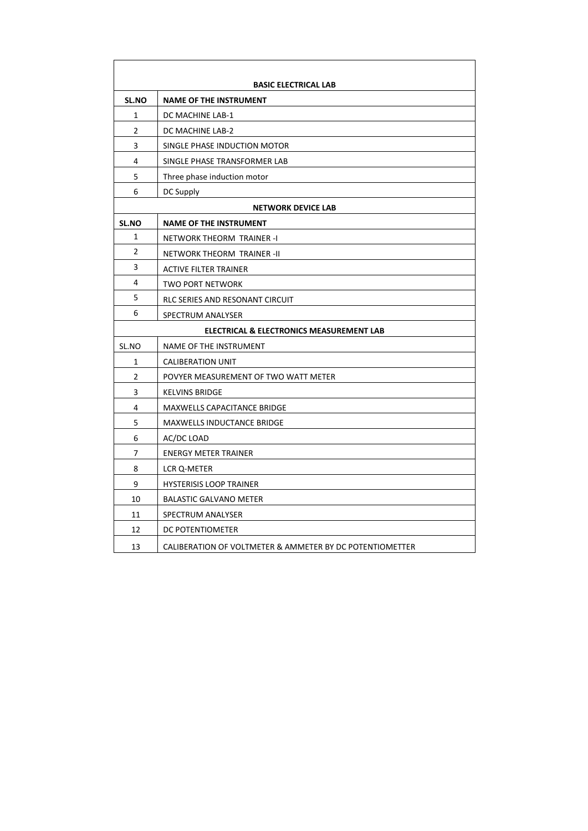|                | <b>BASIC ELECTRICAL LAB</b>                              |
|----------------|----------------------------------------------------------|
| SL.NO          | <b>NAME OF THE INSTRUMENT</b>                            |
| 1              | DC MACHINE LAB-1                                         |
| 2              | DC MACHINE LAB-2                                         |
| 3              | SINGLE PHASE INDUCTION MOTOR                             |
| 4              | SINGLE PHASE TRANSFORMER LAB                             |
| 5              | Three phase induction motor                              |
| 6              | DC Supply                                                |
|                | <b>NETWORK DEVICE LAB</b>                                |
| SL.NO          | <b>NAME OF THE INSTRUMENT</b>                            |
| 1              | NETWORK THEORM TRAINER -I                                |
| $\overline{2}$ | NETWORK THEORM TRAINER -II                               |
| 3              | <b>ACTIVE FILTER TRAINER</b>                             |
| 4              | <b>TWO PORT NETWORK</b>                                  |
| 5              | RLC SERIES AND RESONANT CIRCUIT                          |
| 6              | SPECTRUM ANALYSER                                        |
|                | ELECTRICAL & ELECTRONICS MEASUREMENT LAB                 |
| SL.NO          | NAME OF THE INSTRUMENT                                   |
| 1              | <b>CALIBERATION UNIT</b>                                 |
| $\overline{2}$ | POVYER MEASUREMENT OF TWO WATT METER                     |
| 3              | <b>KELVINS BRIDGE</b>                                    |
| 4              | <b>MAXWELLS CAPACITANCE BRIDGE</b>                       |
| 5              | <b>MAXWELLS INDUCTANCE BRIDGE</b>                        |
| 6              | AC/DC LOAD                                               |
| 7              | <b>ENERGY METER TRAINER</b>                              |
| 8              | LCR Q-METER                                              |
| 9              | <b>HYSTERISIS LOOP TRAINER</b>                           |
| 10             | <b>BALASTIC GALVANO METER</b>                            |
| 11             | SPECTRUM ANALYSER                                        |
| 12             | DC POTENTIOMETER                                         |
| 13             | CALIBERATION OF VOLTMETER & AMMETER BY DC POTENTIOMETTER |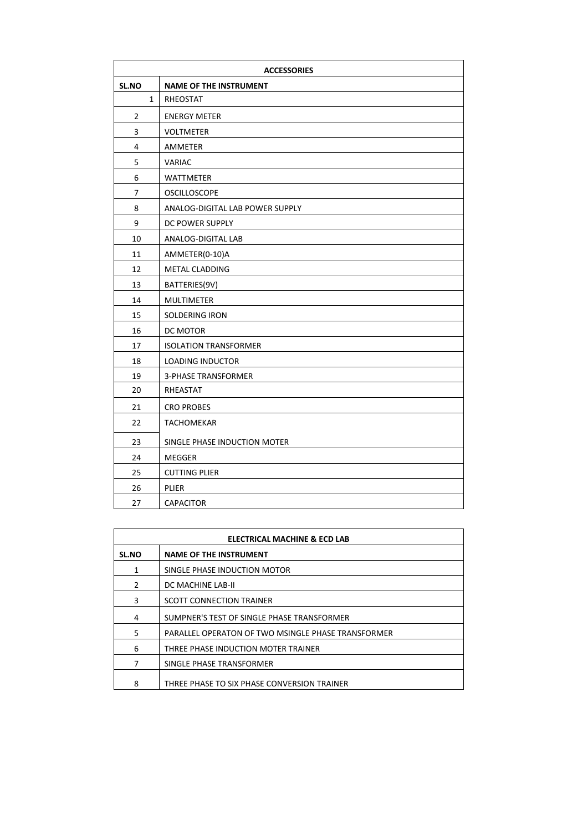|                | <b>ACCESSORIES</b>              |  |  |
|----------------|---------------------------------|--|--|
| SL.NO          | <b>NAME OF THE INSTRUMENT</b>   |  |  |
| 1              | RHEOSTAT                        |  |  |
| $\overline{2}$ | <b>ENERGY METER</b>             |  |  |
| 3              | <b>VOLTMETER</b>                |  |  |
| 4              | AMMETER                         |  |  |
| 5              | <b>VARIAC</b>                   |  |  |
| 6              | <b>WATTMETER</b>                |  |  |
| 7              | <b>OSCILLOSCOPE</b>             |  |  |
| 8              | ANALOG-DIGITAL LAB POWER SUPPLY |  |  |
| 9              | DC POWER SUPPLY                 |  |  |
| 10             | ANALOG-DIGITAL LAB              |  |  |
| 11             | AMMETER(0-10)A                  |  |  |
| 12             | METAL CLADDING                  |  |  |
| 13             | BATTERIES(9V)                   |  |  |
| 14             | <b>MULTIMETER</b>               |  |  |
| 15             | SOLDERING IRON                  |  |  |
| 16             | DC MOTOR                        |  |  |
| 17             | <b>ISOLATION TRANSFORMER</b>    |  |  |
| 18             | <b>LOADING INDUCTOR</b>         |  |  |
| 19             | <b>3-PHASE TRANSFORMER</b>      |  |  |
| 20             | RHEASTAT                        |  |  |
| 21             | <b>CRO PROBES</b>               |  |  |
| 22             | <b>TACHOMEKAR</b>               |  |  |
| 23             | SINGLE PHASE INDUCTION MOTER    |  |  |
| 24             | <b>MEGGER</b>                   |  |  |
| 25             | <b>CUTTING PLIER</b>            |  |  |
| 26             | PLIER                           |  |  |
| 27             | <b>CAPACITOR</b>                |  |  |

| ELECTRICAL MACHINE & ECD LAB |                                                    |  |
|------------------------------|----------------------------------------------------|--|
| <b>SL.NO</b>                 | <b>NAME OF THE INSTRUMENT</b>                      |  |
| 1                            | SINGLE PHASE INDUCTION MOTOR                       |  |
| $\mathcal{P}$                | DC MACHINE LAB-II                                  |  |
| 3                            | <b>SCOTT CONNECTION TRAINER</b>                    |  |
| 4                            | SUMPNER'S TEST OF SINGLE PHASE TRANSFORMER         |  |
| 5                            | PARALLEL OPERATON OF TWO MSINGLE PHASE TRANSFORMER |  |
| 6                            | THREE PHASE INDUCTION MOTER TRAINER                |  |
| 7                            | SINGLE PHASE TRANSFORMER                           |  |
| 8                            | THREE PHASE TO SIX PHASE CONVERSION TRAINER        |  |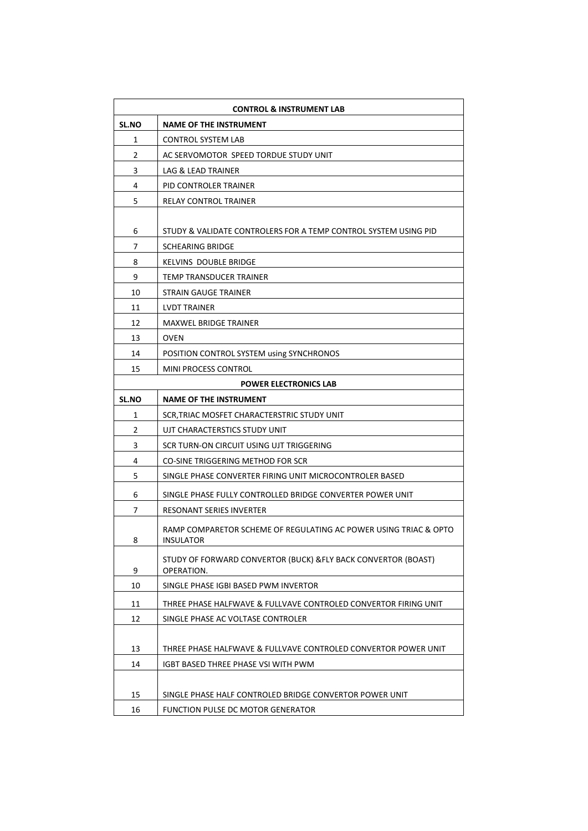| <b>CONTROL &amp; INSTRUMENT LAB</b> |                                                                  |  |
|-------------------------------------|------------------------------------------------------------------|--|
| <b>SL.NO</b>                        | <b>NAME OF THE INSTRUMENT</b>                                    |  |
| 1                                   | <b>CONTROL SYSTEM LAB</b>                                        |  |
| 2                                   | AC SERVOMOTOR SPEED TORDUE STUDY UNIT                            |  |
| 3                                   | LAG & LEAD TRAINER                                               |  |
| 4                                   | PID CONTROLER TRAINER                                            |  |
| 5                                   | RELAY CONTROL TRAINER                                            |  |
|                                     |                                                                  |  |
| 6                                   | STUDY & VALIDATE CONTROLERS FOR A TEMP CONTROL SYSTEM USING PID  |  |
| 7                                   | <b>SCHEARING BRIDGE</b>                                          |  |
| 8                                   | KELVINS DOUBLE BRIDGE                                            |  |
| 9                                   | TEMP TRANSDUCER TRAINER                                          |  |
| 10                                  | STRAIN GAUGE TRAINER                                             |  |
| 11                                  | LVDT TRAINER                                                     |  |
| 12                                  | <b>MAXWEL BRIDGE TRAINER</b>                                     |  |
| 13                                  | <b>OVEN</b>                                                      |  |
| 14                                  | POSITION CONTROL SYSTEM using SYNCHRONOS                         |  |
| 15                                  | <b>MINI PROCESS CONTROL</b>                                      |  |
|                                     | <b>POWER ELECTRONICS LAB</b>                                     |  |
| <b>SL.NO</b>                        | <b>NAME OF THE INSTRUMENT</b>                                    |  |
| 1                                   | SCR, TRIAC MOSFET CHARACTERSTRIC STUDY UNIT                      |  |
| 2                                   | UJT CHARACTERSTICS STUDY UNIT                                    |  |
| 3                                   | SCR TURN-ON CIRCUIT USING UJT TRIGGERING                         |  |
| 4                                   | CO-SINE TRIGGERING METHOD FOR SCR                                |  |
| 5                                   | SINGLE PHASE CONVERTER FIRING UNIT MICROCONTROLER BASED          |  |
| 6                                   | SINGLE PHASE FULLY CONTROLLED BRIDGE CONVERTER POWER UNIT        |  |
| 7                                   | RESONANT SERIES INVERTER                                         |  |
|                                     | RAMP COMPARETOR SCHEME OF REGULATING AC POWER USING TRIAC & OPTO |  |
| 8                                   | <b>INSULATOR</b>                                                 |  |
|                                     | STUDY OF FORWARD CONVERTOR (BUCK) & FLY BACK CONVERTOR (BOAST)   |  |
| 9                                   | OPERATION.                                                       |  |
| 10                                  | SINGLE PHASE IGBI BASED PWM INVERTOR                             |  |
| 11                                  | THREE PHASE HALFWAVE & FULLVAVE CONTROLED CONVERTOR FIRING UNIT  |  |
| 12                                  | SINGLE PHASE AC VOLTASE CONTROLER                                |  |
|                                     |                                                                  |  |
| 13                                  | THREE PHASE HALFWAVE & FULLVAVE CONTROLED CONVERTOR POWER UNIT   |  |
| 14                                  | IGBT BASED THREE PHASE VSI WITH PWM                              |  |
|                                     |                                                                  |  |
| 15                                  | SINGLE PHASE HALF CONTROLED BRIDGE CONVERTOR POWER UNIT          |  |
| 16                                  | FUNCTION PULSE DC MOTOR GENERATOR                                |  |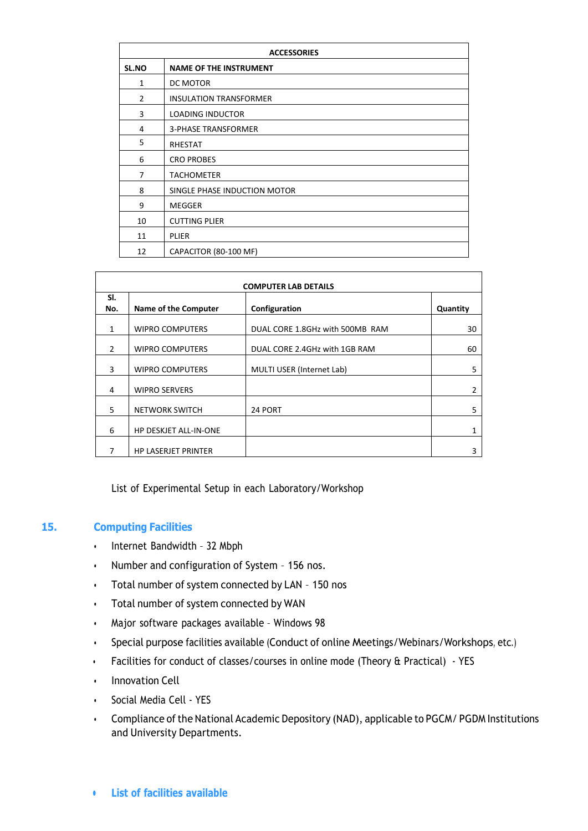| <b>ACCESSORIES</b> |                               |  |  |
|--------------------|-------------------------------|--|--|
| SL.NO              | <b>NAME OF THE INSTRUMENT</b> |  |  |
| 1                  | DC MOTOR                      |  |  |
| $\overline{2}$     | <b>INSULATION TRANSFORMER</b> |  |  |
| 3                  | <b>LOADING INDUCTOR</b>       |  |  |
| 4                  | <b>3-PHASE TRANSFORMER</b>    |  |  |
| 5                  | RHESTAT                       |  |  |
| 6                  | <b>CRO PROBES</b>             |  |  |
| 7                  | <b>TACHOMETER</b>             |  |  |
| 8                  | SINGLE PHASE INDUCTION MOTOR  |  |  |
| 9                  | MEGGER                        |  |  |
| 10                 | <b>CUTTING PLIER</b>          |  |  |
| 11                 | <b>PLIER</b>                  |  |  |
| 12                 | CAPACITOR (80-100 MF)         |  |  |

| <b>COMPUTER LAB DETAILS</b> |                              |                                 |          |  |
|-----------------------------|------------------------------|---------------------------------|----------|--|
| SI.<br>No.                  | Name of the Computer         | Configuration                   | Quantity |  |
| $\mathbf{1}$                | <b>WIPRO COMPUTERS</b>       | DUAL CORE 1.8GHz with 500MB RAM | 30       |  |
| $\mathcal{P}$               | <b>WIPRO COMPUTERS</b>       | DUAL CORE 2.4GHz with 1GB RAM   | 60       |  |
| 3                           | <b>WIPRO COMPUTERS</b>       | MULTI USER (Internet Lab)       | 5        |  |
| 4                           | <b>WIPRO SERVERS</b>         |                                 | 2        |  |
| 5                           | <b>NETWORK SWITCH</b>        | 24 PORT                         | 5        |  |
| 6                           | <b>HP DESKJET ALL-IN-ONE</b> |                                 | 1        |  |
| 7                           | <b>HP LASERJET PRINTER</b>   |                                 | 3        |  |

List of Experimental Setup in each Laboratory/Workshop

## **15. Computing Facilities**

- Internet Bandwidth 32 Mbph
- Number and configuration of System 156 nos.
- Total number of system connected by LAN 150 nos
- Total number of system connected by WAN
- Major software packages available Windows 98
- Special purpose facilities available (Conduct of online Meetings/Webinars/Workshops, etc.)
- Facilities for conduct of classes/courses in online mode (Theory & Practical) YES
- Innovation Cell
- Social Media Cell YES
- Compliance of the National Academic Depository (NAD), applicable to PGCM/ PGDM Institutions and University Departments.